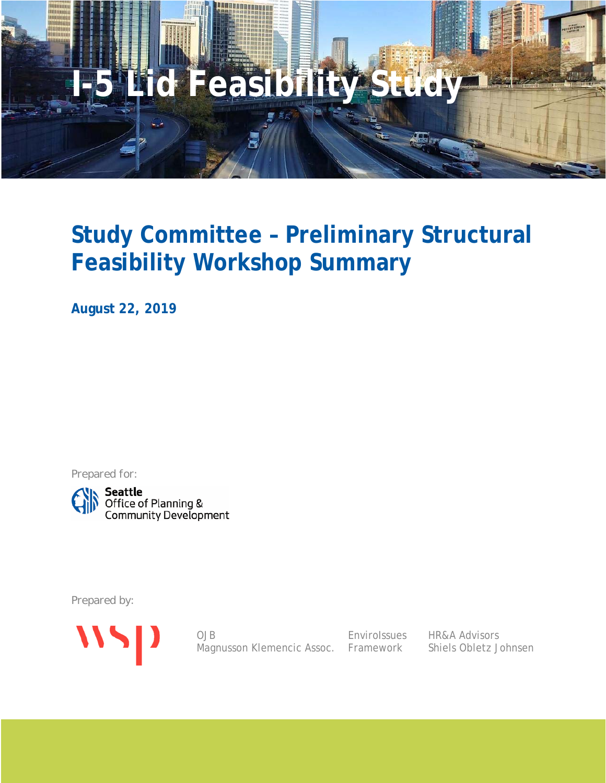# **I-5 Lid Feasibility Study**

## **Study Committee – Preliminary Structural Feasibility Workshop Summary**

**August 22, 2019** 

*Prepared for:* 

**Seattle** Office of Planning &<br>Community Development

*Prepared by:* 



OJB Magnusson Klemencic Assoc. Framework

EnviroIssues

HR&A Advisors Shiels Obletz Johnsen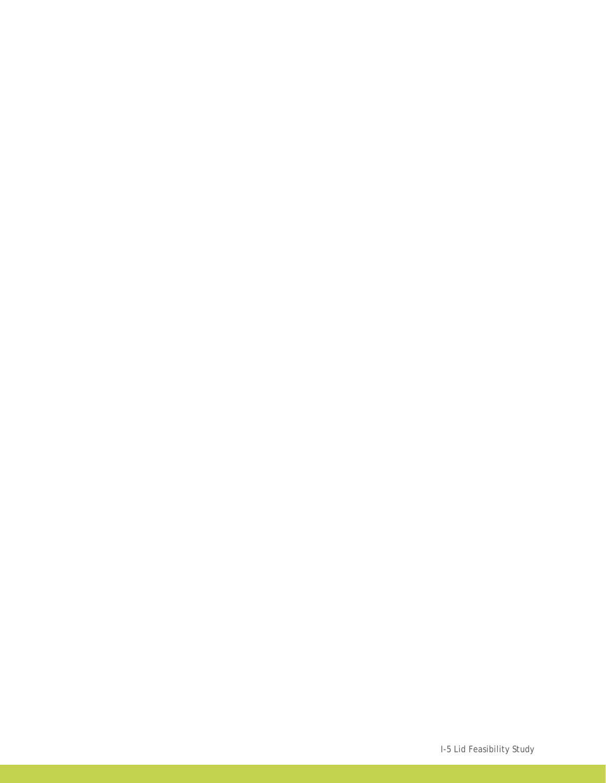I-5 Lid Feasibility Study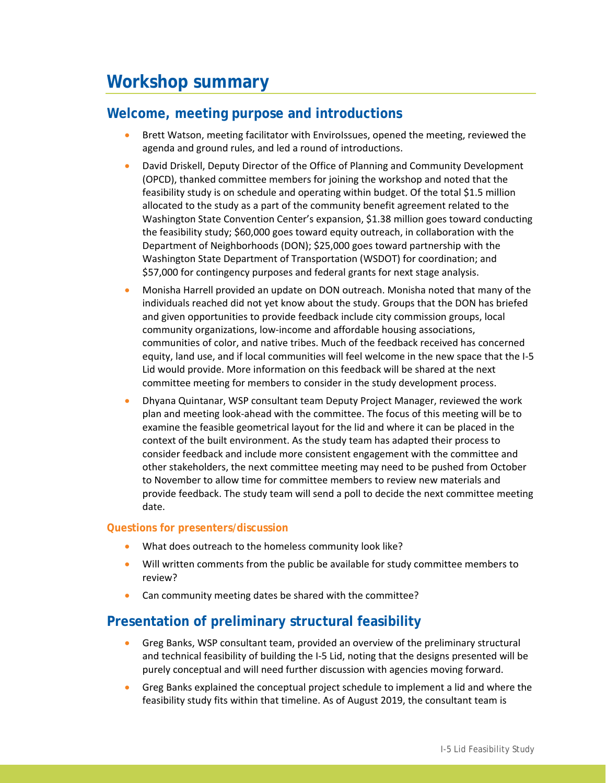### **Workshop summary**

#### **Welcome, meeting purpose and introductions**

- Brett Watson, meeting facilitator with EnviroIssues, opened the meeting, reviewed the agenda and ground rules, and led a round of introductions.
- David Driskell, Deputy Director of the Office of Planning and Community Development (OPCD), thanked committee members for joining the workshop and noted that the feasibility study is on schedule and operating within budget. Of the total \$1.5 million allocated to the study as a part of the community benefit agreement related to the Washington State Convention Center's expansion, \$1.38 million goes toward conducting the feasibility study; \$60,000 goes toward equity outreach, in collaboration with the Department of Neighborhoods (DON); \$25,000 goes toward partnership with the Washington State Department of Transportation (WSDOT) for coordination; and \$57,000 for contingency purposes and federal grants for next stage analysis.
- Monisha Harrell provided an update on DON outreach. Monisha noted that many of the individuals reached did not yet know about the study. Groups that the DON has briefed and given opportunities to provide feedback include city commission groups, local community organizations, low‐income and affordable housing associations, communities of color, and native tribes. Much of the feedback received has concerned equity, land use, and if local communities will feel welcome in the new space that the I‐5 Lid would provide. More information on this feedback will be shared at the next committee meeting for members to consider in the study development process.
- Dhyana Quintanar, WSP consultant team Deputy Project Manager, reviewed the work plan and meeting look‐ahead with the committee. The focus of this meeting will be to examine the feasible geometrical layout for the lid and where it can be placed in the context of the built environment. As the study team has adapted their process to consider feedback and include more consistent engagement with the committee and other stakeholders, the next committee meeting may need to be pushed from October to November to allow time for committee members to review new materials and provide feedback. The study team will send a poll to decide the next committee meeting date.

#### **Questions for presenters/discussion**

- What does outreach to the homeless community look like?
- Will written comments from the public be available for study committee members to review?
- Can community meeting dates be shared with the committee?

#### **Presentation of preliminary structural feasibility**

- Greg Banks, WSP consultant team, provided an overview of the preliminary structural and technical feasibility of building the I‐5 Lid, noting that the designs presented will be purely conceptual and will need further discussion with agencies moving forward.
- Greg Banks explained the conceptual project schedule to implement a lid and where the feasibility study fits within that timeline. As of August 2019, the consultant team is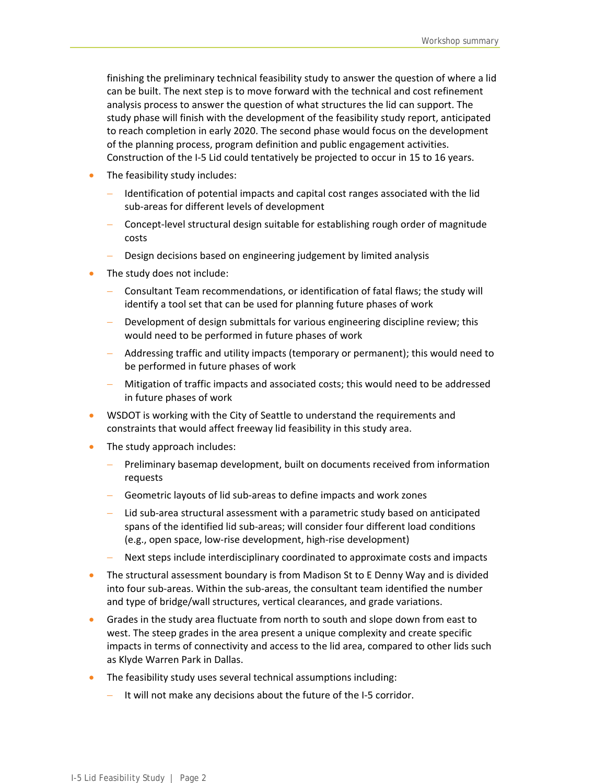finishing the preliminary technical feasibility study to answer the question of where a lid can be built. The next step is to move forward with the technical and cost refinement analysis process to answer the question of what structures the lid can support. The study phase will finish with the development of the feasibility study report, anticipated to reach completion in early 2020. The second phase would focus on the development of the planning process, program definition and public engagement activities. Construction of the I‐5 Lid could tentatively be projected to occur in 15 to 16 years.

- The feasibility study includes:
	- Identification of potential impacts and capital cost ranges associated with the lid sub‐areas for different levels of development
	- Concept‐level structural design suitable for establishing rough order of magnitude costs
	- Design decisions based on engineering judgement by limited analysis
- The study does not include:
	- Consultant Team recommendations, or identification of fatal flaws; the study will identify a tool set that can be used for planning future phases of work
	- Development of design submittals for various engineering discipline review; this would need to be performed in future phases of work
	- Addressing traffic and utility impacts (temporary or permanent); this would need to be performed in future phases of work
	- Mitigation of traffic impacts and associated costs; this would need to be addressed in future phases of work
- WSDOT is working with the City of Seattle to understand the requirements and constraints that would affect freeway lid feasibility in this study area.
- The study approach includes:
	- Preliminary basemap development, built on documents received from information requests
	- Geometric layouts of lid sub‐areas to define impacts and work zones
	- Lid sub‐area structural assessment with a parametric study based on anticipated spans of the identified lid sub‐areas; will consider four different load conditions (e.g., open space, low‐rise development, high‐rise development)
	- Next steps include interdisciplinary coordinated to approximate costs and impacts
- The structural assessment boundary is from Madison St to E Denny Way and is divided into four sub‐areas. Within the sub‐areas, the consultant team identified the number and type of bridge/wall structures, vertical clearances, and grade variations.
- Grades in the study area fluctuate from north to south and slope down from east to west. The steep grades in the area present a unique complexity and create specific impacts in terms of connectivity and access to the lid area, compared to other lids such as Klyde Warren Park in Dallas.
- The feasibility study uses several technical assumptions including:
	- $-I$  It will not make any decisions about the future of the I-5 corridor.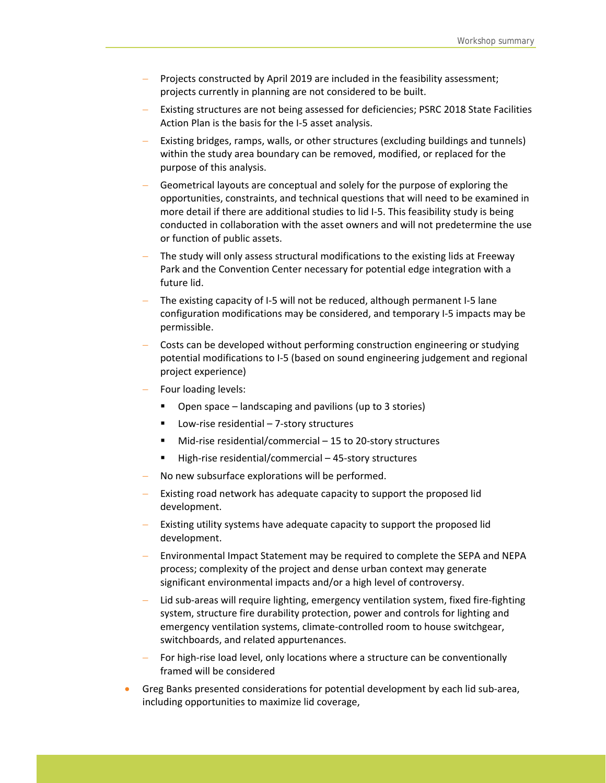- Projects constructed by April 2019 are included in the feasibility assessment; projects currently in planning are not considered to be built.
- Existing structures are not being assessed for deficiencies; PSRC 2018 State Facilities Action Plan is the basis for the I‐5 asset analysis.
- Existing bridges, ramps, walls, or other structures (excluding buildings and tunnels) within the study area boundary can be removed, modified, or replaced for the purpose of this analysis.
- Geometrical layouts are conceptual and solely for the purpose of exploring the opportunities, constraints, and technical questions that will need to be examined in more detail if there are additional studies to lid I‐5. This feasibility study is being conducted in collaboration with the asset owners and will not predetermine the use or function of public assets.
- The study will only assess structural modifications to the existing lids at Freeway Park and the Convention Center necessary for potential edge integration with a future lid.
- The existing capacity of I‐5 will not be reduced, although permanent I‐5 lane configuration modifications may be considered, and temporary I‐5 impacts may be permissible.
- Costs can be developed without performing construction engineering or studying potential modifications to I‐5 (based on sound engineering judgement and regional project experience)
- Four loading levels:
	- Open space landscaping and pavilions (up to 3 stories)
	- Low‐rise residential 7‐story structures
	- Mid-rise residential/commercial 15 to 20-story structures
	- High-rise residential/commercial 45-story structures
- No new subsurface explorations will be performed.
- Existing road network has adequate capacity to support the proposed lid development.
- Existing utility systems have adequate capacity to support the proposed lid development.
- Environmental Impact Statement may be required to complete the SEPA and NEPA process; complexity of the project and dense urban context may generate significant environmental impacts and/or a high level of controversy.
- Lid sub-areas will require lighting, emergency ventilation system, fixed fire-fighting system, structure fire durability protection, power and controls for lighting and emergency ventilation systems, climate‐controlled room to house switchgear, switchboards, and related appurtenances.
- For high-rise load level, only locations where a structure can be conventionally framed will be considered
- Greg Banks presented considerations for potential development by each lid sub‐area, including opportunities to maximize lid coverage,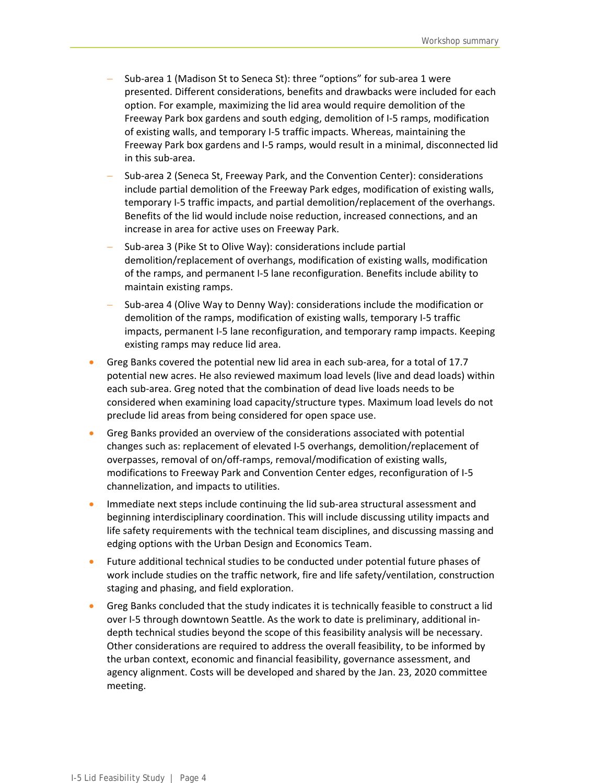- Sub‐area 1 (Madison St to Seneca St): three "options" for sub‐area 1 were presented. Different considerations, benefits and drawbacks were included for each option. For example, maximizing the lid area would require demolition of the Freeway Park box gardens and south edging, demolition of I‐5 ramps, modification of existing walls, and temporary I‐5 traffic impacts. Whereas, maintaining the Freeway Park box gardens and I‐5 ramps, would result in a minimal, disconnected lid in this sub‐area.
- Sub‐area 2 (Seneca St, Freeway Park, and the Convention Center): considerations include partial demolition of the Freeway Park edges, modification of existing walls, temporary I‐5 traffic impacts, and partial demolition/replacement of the overhangs. Benefits of the lid would include noise reduction, increased connections, and an increase in area for active uses on Freeway Park.
- Sub‐area 3 (Pike St to Olive Way): considerations include partial demolition/replacement of overhangs, modification of existing walls, modification of the ramps, and permanent I‐5 lane reconfiguration. Benefits include ability to maintain existing ramps.
- Sub‐area 4 (Olive Way to Denny Way): considerations include the modification or demolition of the ramps, modification of existing walls, temporary I‐5 traffic impacts, permanent I‐5 lane reconfiguration, and temporary ramp impacts. Keeping existing ramps may reduce lid area.
- Greg Banks covered the potential new lid area in each sub‐area, for a total of 17.7 potential new acres. He also reviewed maximum load levels (live and dead loads) within each sub‐area. Greg noted that the combination of dead live loads needs to be considered when examining load capacity/structure types. Maximum load levels do not preclude lid areas from being considered for open space use.
- Greg Banks provided an overview of the considerations associated with potential changes such as: replacement of elevated I‐5 overhangs, demolition/replacement of overpasses, removal of on/off‐ramps, removal/modification of existing walls, modifications to Freeway Park and Convention Center edges, reconfiguration of I‐5 channelization, and impacts to utilities.
- Immediate next steps include continuing the lid sub‐area structural assessment and beginning interdisciplinary coordination. This will include discussing utility impacts and life safety requirements with the technical team disciplines, and discussing massing and edging options with the Urban Design and Economics Team.
- Future additional technical studies to be conducted under potential future phases of work include studies on the traffic network, fire and life safety/ventilation, construction staging and phasing, and field exploration.
- Greg Banks concluded that the study indicates it is technically feasible to construct a lid over I‐5 through downtown Seattle. As the work to date is preliminary, additional in‐ depth technical studies beyond the scope of this feasibility analysis will be necessary. Other considerations are required to address the overall feasibility, to be informed by the urban context, economic and financial feasibility, governance assessment, and agency alignment. Costs will be developed and shared by the Jan. 23, 2020 committee meeting.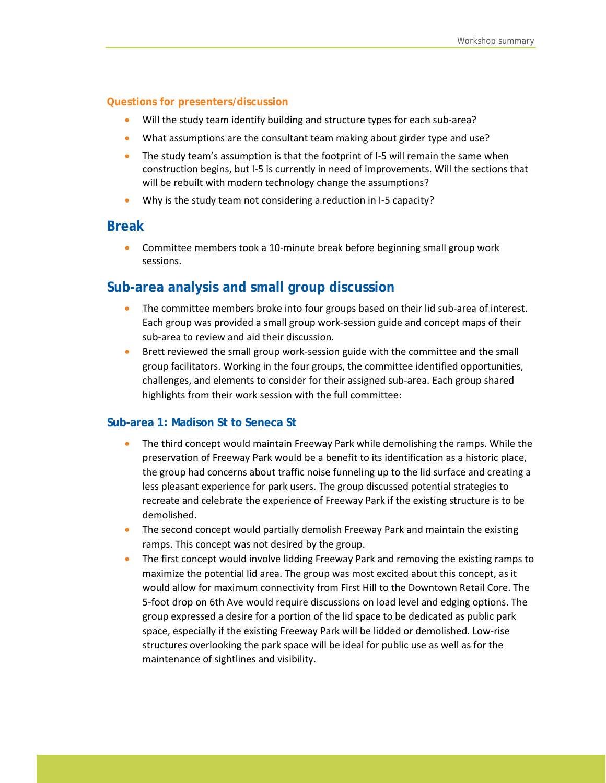#### **Questions for presenters/discussion**

- Will the study team identify building and structure types for each sub-area?
- What assumptions are the consultant team making about girder type and use?
- The study team's assumption is that the footprint of I-5 will remain the same when construction begins, but I‐5 is currently in need of improvements. Will the sections that will be rebuilt with modern technology change the assumptions?
- Why is the study team not considering a reduction in I-5 capacity?

#### **Break**

● Committee members took a 10-minute break before beginning small group work sessions.

#### **Sub-area analysis and small group discussion**

- The committee members broke into four groups based on their lid sub-area of interest. Each group was provided a small group work‐session guide and concept maps of their sub‐area to review and aid their discussion.
- Brett reviewed the small group work-session guide with the committee and the small group facilitators. Working in the four groups, the committee identified opportunities, challenges, and elements to consider for their assigned sub‐area. Each group shared highlights from their work session with the full committee:

#### **Sub-area 1: Madison St to Seneca St**

- The third concept would maintain Freeway Park while demolishing the ramps. While the preservation of Freeway Park would be a benefit to its identification as a historic place, the group had concerns about traffic noise funneling up to the lid surface and creating a less pleasant experience for park users. The group discussed potential strategies to recreate and celebrate the experience of Freeway Park if the existing structure is to be demolished.
- The second concept would partially demolish Freeway Park and maintain the existing ramps. This concept was not desired by the group.
- The first concept would involve lidding Freeway Park and removing the existing ramps to maximize the potential lid area. The group was most excited about this concept, as it would allow for maximum connectivity from First Hill to the Downtown Retail Core. The 5‐foot drop on 6th Ave would require discussions on load level and edging options. The group expressed a desire for a portion of the lid space to be dedicated as public park space, especially if the existing Freeway Park will be lidded or demolished. Low‐rise structures overlooking the park space will be ideal for public use as well as for the maintenance of sightlines and visibility.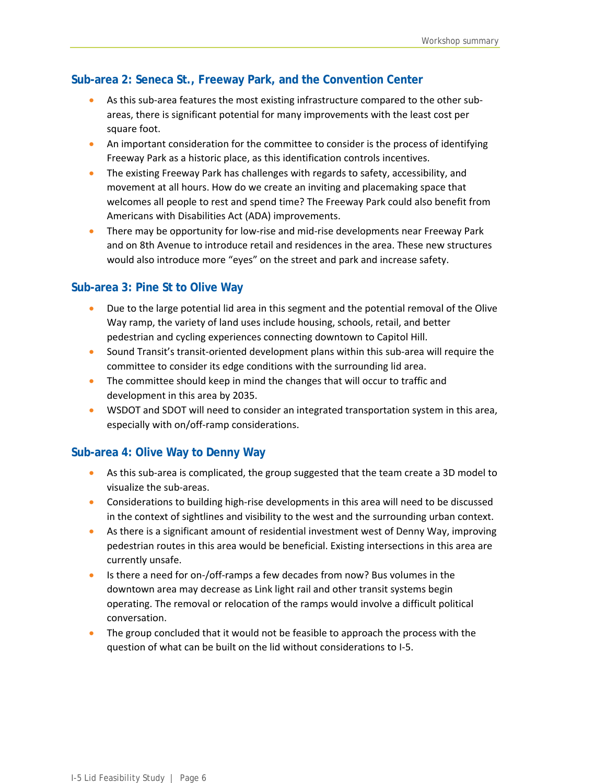#### **Sub-area 2: Seneca St., Freeway Park, and the Convention Center**

- As this sub-area features the most existing infrastructure compared to the other subareas, there is significant potential for many improvements with the least cost per square foot.
- An important consideration for the committee to consider is the process of identifying Freeway Park as a historic place, as this identification controls incentives.
- The existing Freeway Park has challenges with regards to safety, accessibility, and movement at all hours. How do we create an inviting and placemaking space that welcomes all people to rest and spend time? The Freeway Park could also benefit from Americans with Disabilities Act (ADA) improvements.
- There may be opportunity for low-rise and mid-rise developments near Freeway Park and on 8th Avenue to introduce retail and residences in the area. These new structures would also introduce more "eyes" on the street and park and increase safety.

#### **Sub-area 3: Pine St to Olive Way**

- Due to the large potential lid area in this segment and the potential removal of the Olive Way ramp, the variety of land uses include housing, schools, retail, and better pedestrian and cycling experiences connecting downtown to Capitol Hill.
- Sound Transit's transit-oriented development plans within this sub-area will require the committee to consider its edge conditions with the surrounding lid area.
- The committee should keep in mind the changes that will occur to traffic and development in this area by 2035.
- WSDOT and SDOT will need to consider an integrated transportation system in this area, especially with on/off‐ramp considerations.

#### **Sub-area 4: Olive Way to Denny Way**

- As this sub-area is complicated, the group suggested that the team create a 3D model to visualize the sub‐areas.
- Considerations to building high-rise developments in this area will need to be discussed in the context of sightlines and visibility to the west and the surrounding urban context.
- As there is a significant amount of residential investment west of Denny Way, improving pedestrian routes in this area would be beneficial. Existing intersections in this area are currently unsafe.
- Is there a need for on-/off-ramps a few decades from now? Bus volumes in the downtown area may decrease as Link light rail and other transit systems begin operating. The removal or relocation of the ramps would involve a difficult political conversation.
- The group concluded that it would not be feasible to approach the process with the question of what can be built on the lid without considerations to I‐5.